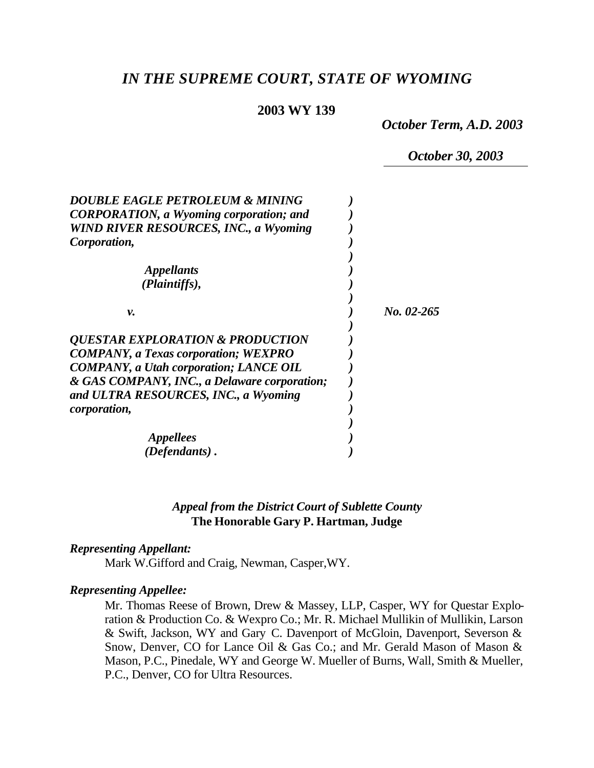# *IN THE SUPREME COURT, STATE OF WYOMING*

### **2003 WY 139**

*October Term, A.D. 2003*

*October 30, 2003*

| <b>DOUBLE EAGLE PETROLEUM &amp; MINING</b>         |            |
|----------------------------------------------------|------------|
| <b>CORPORATION, a Wyoming corporation; and</b>     |            |
| <b>WIND RIVER RESOURCES, INC., a Wyoming</b>       |            |
| Corporation,                                       |            |
|                                                    |            |
| <i><b>Appellants</b></i>                           |            |
| (Plaintiffs),                                      |            |
|                                                    |            |
| ν.                                                 | No. 02-265 |
|                                                    |            |
| <i><b>QUESTAR EXPLORATION &amp; PRODUCTION</b></i> |            |
| <b>COMPANY, a Texas corporation; WEXPRO</b>        |            |
| <b>COMPANY</b> , a Utah corporation; LANCE OIL     |            |
| & GAS COMPANY, INC., a Delaware corporation;       |            |
| and ULTRA RESOURCES, INC., a Wyoming               |            |
| <i>corporation,</i>                                |            |
|                                                    |            |
| <i>Appellees</i>                                   |            |
| (Defendants).                                      |            |

## *Appeal from the District Court of Sublette County* **The Honorable Gary P. Hartman, Judge**

#### *Representing Appellant:*

Mark W.Gifford and Craig, Newman, Casper,WY.

#### *Representing Appellee:*

Mr. Thomas Reese of Brown, Drew & Massey, LLP, Casper, WY for Questar Exploration & Production Co. & Wexpro Co.; Mr. R. Michael Mullikin of Mullikin, Larson & Swift, Jackson, WY and Gary C. Davenport of McGloin, Davenport, Severson & Snow, Denver, CO for Lance Oil & Gas Co.; and Mr. Gerald Mason of Mason & Mason, P.C., Pinedale, WY and George W. Mueller of Burns, Wall, Smith & Mueller, P.C., Denver, CO for Ultra Resources.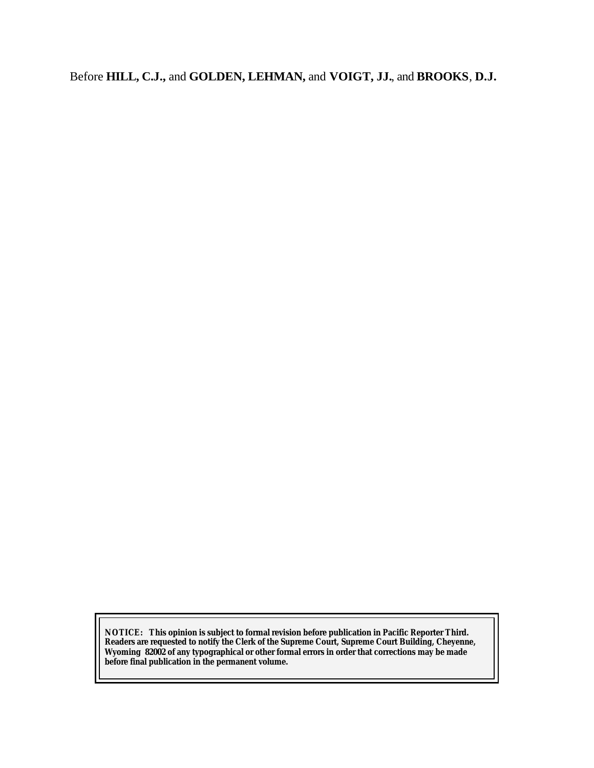Before **HILL, C.J.,** and **GOLDEN, LEHMAN,** and **VOIGT, JJ.**, and **BROOKS**, **D.J.**

**NOTICE:** *This opinion is subject to formal revision before publication in Pacific Reporter Third. Readers are requested to notify the Clerk of the Supreme Court, Supreme Court Building, Cheyenne, Wyoming 82002 of any typographical or other formal errors in order that corrections may be made before final publication in the permanent volume.*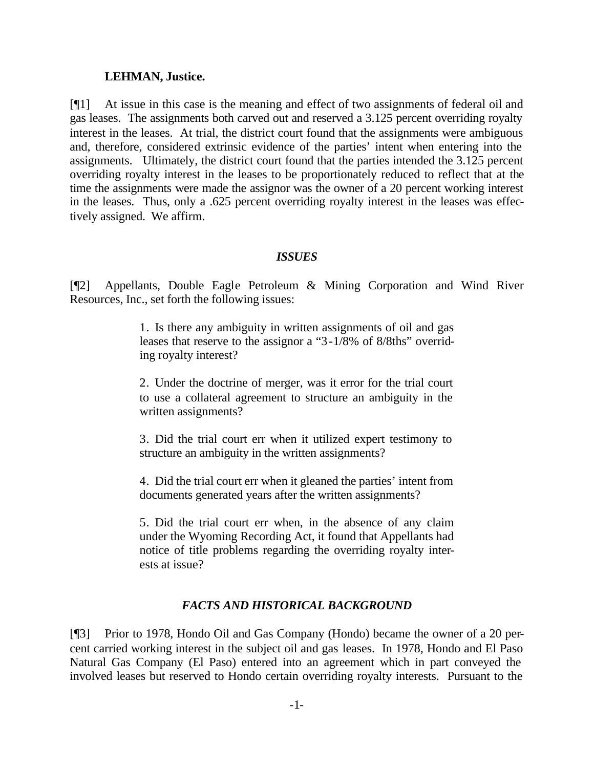#### **LEHMAN, Justice.**

[¶1] At issue in this case is the meaning and effect of two assignments of federal oil and gas leases. The assignments both carved out and reserved a 3.125 percent overriding royalty interest in the leases. At trial, the district court found that the assignments were ambiguous and, therefore, considered extrinsic evidence of the parties' intent when entering into the assignments. Ultimately, the district court found that the parties intended the 3.125 percent overriding royalty interest in the leases to be proportionately reduced to reflect that at the time the assignments were made the assignor was the owner of a 20 percent working interest in the leases. Thus, only a .625 percent overriding royalty interest in the leases was effectively assigned. We affirm.

#### *ISSUES*

[¶2] Appellants, Double Eagle Petroleum & Mining Corporation and Wind River Resources, Inc., set forth the following issues:

> 1. Is there any ambiguity in written assignments of oil and gas leases that reserve to the assignor a "3-1/8% of 8/8ths" overriding royalty interest?

> 2. Under the doctrine of merger, was it error for the trial court to use a collateral agreement to structure an ambiguity in the written assignments?

> 3. Did the trial court err when it utilized expert testimony to structure an ambiguity in the written assignments?

> 4. Did the trial court err when it gleaned the parties' intent from documents generated years after the written assignments?

> 5. Did the trial court err when, in the absence of any claim under the Wyoming Recording Act, it found that Appellants had notice of title problems regarding the overriding royalty interests at issue?

### *FACTS AND HISTORICAL BACKGROUND*

[¶3] Prior to 1978, Hondo Oil and Gas Company (Hondo) became the owner of a 20 percent carried working interest in the subject oil and gas leases. In 1978, Hondo and El Paso Natural Gas Company (El Paso) entered into an agreement which in part conveyed the involved leases but reserved to Hondo certain overriding royalty interests. Pursuant to the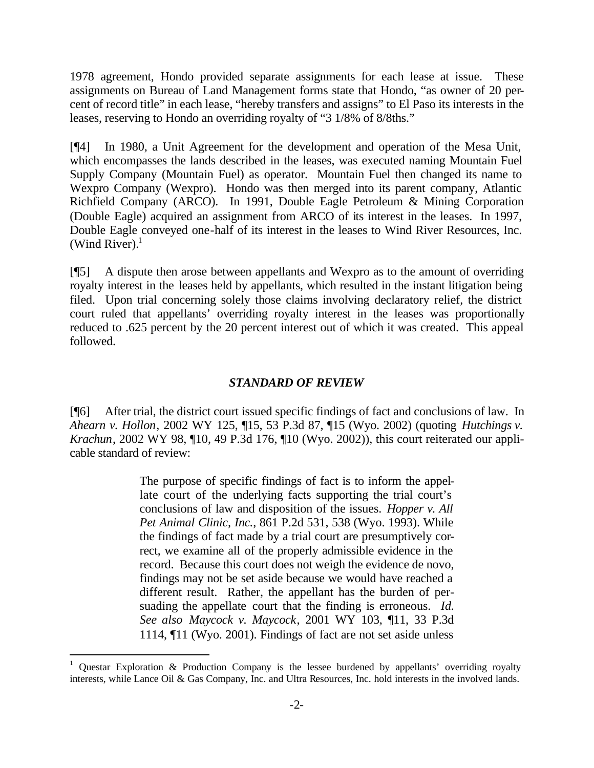1978 agreement, Hondo provided separate assignments for each lease at issue. These assignments on Bureau of Land Management forms state that Hondo, "as owner of 20 percent of record title" in each lease, "hereby transfers and assigns" to El Paso its interests in the leases, reserving to Hondo an overriding royalty of "3 1/8% of 8/8ths."

[¶4] In 1980, a Unit Agreement for the development and operation of the Mesa Unit, which encompasses the lands described in the leases, was executed naming Mountain Fuel Supply Company (Mountain Fuel) as operator. Mountain Fuel then changed its name to Wexpro Company (Wexpro). Hondo was then merged into its parent company, Atlantic Richfield Company (ARCO). In 1991, Double Eagle Petroleum & Mining Corporation (Double Eagle) acquired an assignment from ARCO of its interest in the leases. In 1997, Double Eagle conveyed one-half of its interest in the leases to Wind River Resources, Inc. (Wind River). $<sup>1</sup>$ </sup>

[¶5] A dispute then arose between appellants and Wexpro as to the amount of overriding royalty interest in the leases held by appellants, which resulted in the instant litigation being filed. Upon trial concerning solely those claims involving declaratory relief, the district court ruled that appellants' overriding royalty interest in the leases was proportionally reduced to .625 percent by the 20 percent interest out of which it was created. This appeal followed.

### *STANDARD OF REVIEW*

[¶6] After trial, the district court issued specific findings of fact and conclusions of law. In *Ahearn v. Hollon*, 2002 WY 125, ¶15, 53 P.3d 87, ¶15 (Wyo. 2002) (quoting *Hutchings v. Krachun*, 2002 WY 98, ¶10, 49 P.3d 176, ¶10 (Wyo. 2002)), this court reiterated our applicable standard of review:

> The purpose of specific findings of fact is to inform the appellate court of the underlying facts supporting the trial court's conclusions of law and disposition of the issues. *Hopper v. All Pet Animal Clinic, Inc.*, 861 P.2d 531, 538 (Wyo. 1993). While the findings of fact made by a trial court are presumptively correct, we examine all of the properly admissible evidence in the record. Because this court does not weigh the evidence de novo, findings may not be set aside because we would have reached a different result. Rather, the appellant has the burden of persuading the appellate court that the finding is erroneous. *Id. See also Maycock v. Maycock*, 2001 WY 103, ¶11, 33 P.3d 1114, ¶11 (Wyo. 2001). Findings of fact are not set aside unless

l

<sup>1</sup> Questar Exploration & Production Company is the lessee burdened by appellants' overriding royalty interests, while Lance Oil & Gas Company, Inc. and Ultra Resources, Inc. hold interests in the involved lands.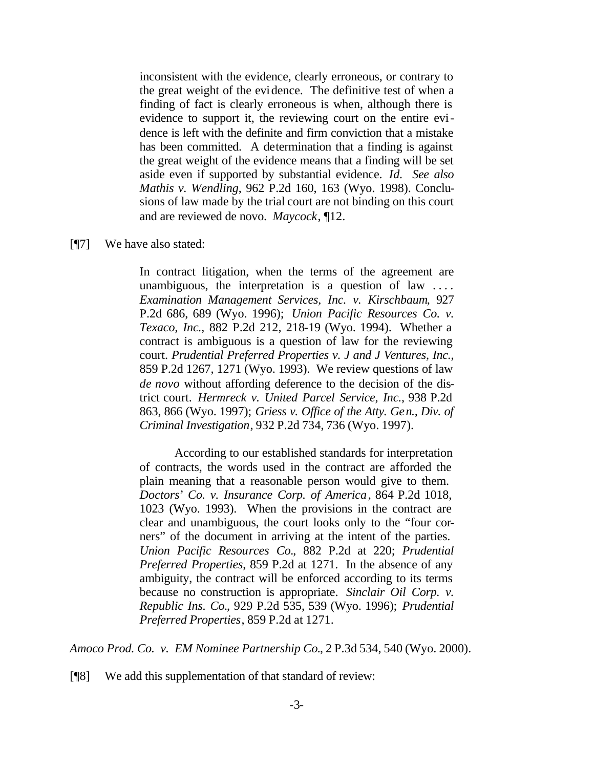inconsistent with the evidence, clearly erroneous, or contrary to the great weight of the evidence. The definitive test of when a finding of fact is clearly erroneous is when, although there is evidence to support it, the reviewing court on the entire evidence is left with the definite and firm conviction that a mistake has been committed. A determination that a finding is against the great weight of the evidence means that a finding will be set aside even if supported by substantial evidence. *Id. See also Mathis v. Wendling*, 962 P.2d 160, 163 (Wyo. 1998). Conclusions of law made by the trial court are not binding on this court and are reviewed de novo. *Maycock*, ¶12.

#### [¶7] We have also stated:

In contract litigation, when the terms of the agreement are unambiguous, the interpretation is a question of law .... *Examination Management Services, Inc. v. Kirschbaum*, 927 P.2d 686, 689 (Wyo. 1996); *Union Pacific Resources Co. v. Texaco, Inc.*, 882 P.2d 212, 218-19 (Wyo. 1994). Whether a contract is ambiguous is a question of law for the reviewing court. *Prudential Preferred Properties v. J and J Ventures, Inc.*, 859 P.2d 1267, 1271 (Wyo. 1993). We review questions of law *de novo* without affording deference to the decision of the district court. *Hermreck v. United Parcel Service, Inc.*, 938 P.2d 863, 866 (Wyo. 1997); *Griess v. Office of the Atty. Gen., Div. of Criminal Investigation*, 932 P.2d 734, 736 (Wyo. 1997).

According to our established standards for interpretation of contracts, the words used in the contract are afforded the plain meaning that a reasonable person would give to them. *Doctors' Co. v. Insurance Corp. of America*, 864 P.2d 1018, 1023 (Wyo. 1993). When the provisions in the contract are clear and unambiguous, the court looks only to the "four corners" of the document in arriving at the intent of the parties. *Union Pacific Resources Co.*, 882 P.2d at 220; *Prudential Preferred Properties*, 859 P.2d at 1271. In the absence of any ambiguity, the contract will be enforced according to its terms because no construction is appropriate. *Sinclair Oil Corp. v. Republic Ins. Co.*, 929 P.2d 535, 539 (Wyo. 1996); *Prudential Preferred Properties*, 859 P.2d at 1271.

*Amoco Prod. Co. v. EM Nominee Partnership Co.*, 2 P.3d 534, 540 (Wyo. 2000).

[¶8] We add this supplementation of that standard of review: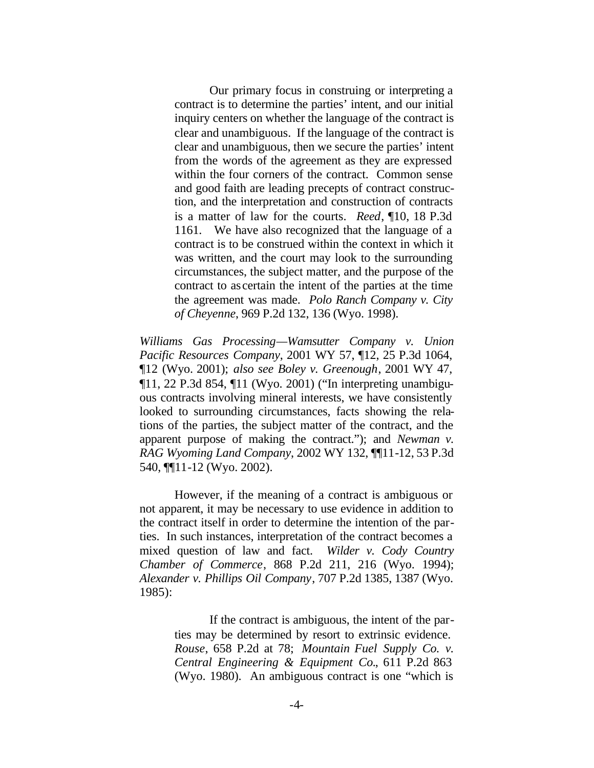Our primary focus in construing or interpreting a contract is to determine the parties' intent, and our initial inquiry centers on whether the language of the contract is clear and unambiguous. If the language of the contract is clear and unambiguous, then we secure the parties' intent from the words of the agreement as they are expressed within the four corners of the contract. Common sense and good faith are leading precepts of contract construction, and the interpretation and construction of contracts is a matter of law for the courts. *Reed*, ¶10, 18 P.3d 1161. We have also recognized that the language of a contract is to be construed within the context in which it was written, and the court may look to the surrounding circumstances, the subject matter, and the purpose of the contract to ascertain the intent of the parties at the time the agreement was made. *Polo Ranch Company v. City of Cheyenne*, 969 P.2d 132, 136 (Wyo. 1998).

*Williams Gas Processing—Wamsutter Company v. Union Pacific Resources Company*, 2001 WY 57, ¶12, 25 P.3d 1064, ¶12 (Wyo. 2001); *also see Boley v. Greenough*, 2001 WY 47, ¶11, 22 P.3d 854, ¶11 (Wyo. 2001) ("In interpreting unambiguous contracts involving mineral interests, we have consistently looked to surrounding circumstances, facts showing the relations of the parties, the subject matter of the contract, and the apparent purpose of making the contract."); and *Newman v. RAG Wyoming Land Company*, 2002 WY 132, ¶¶11-12, 53 P.3d 540, ¶¶11-12 (Wyo. 2002).

However, if the meaning of a contract is ambiguous or not apparent, it may be necessary to use evidence in addition to the contract itself in order to determine the intention of the parties. In such instances, interpretation of the contract becomes a mixed question of law and fact. *Wilder v. Cody Country Chamber of Commerce*, 868 P.2d 211, 216 (Wyo. 1994); *Alexander v. Phillips Oil Company*, 707 P.2d 1385, 1387 (Wyo. 1985):

> If the contract is ambiguous, the intent of the parties may be determined by resort to extrinsic evidence. *Rouse*, 658 P.2d at 78; *Mountain Fuel Supply Co. v. Central Engineering & Equipment Co.*, 611 P.2d 863 (Wyo. 1980). An ambiguous contract is one "which is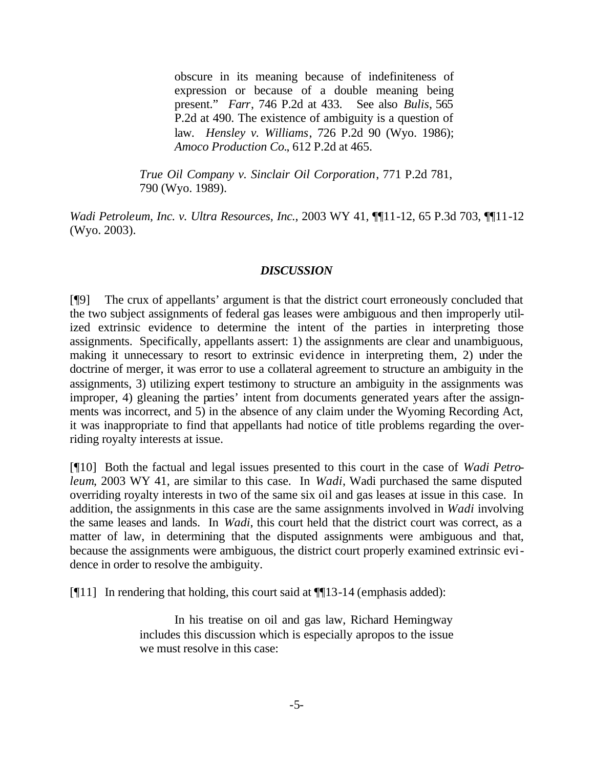obscure in its meaning because of indefiniteness of expression or because of a double meaning being present." *Farr*, 746 P.2d at 433. See also *Bulis*, 565 P.2d at 490. The existence of ambiguity is a question of law. *Hensley v. Williams*, 726 P.2d 90 (Wyo. 1986); *Amoco Production Co.*, 612 P.2d at 465.

*True Oil Company v. Sinclair Oil Corporation*, 771 P.2d 781, 790 (Wyo. 1989).

*Wadi Petroleum, Inc. v. Ultra Resources, Inc.*, 2003 WY 41, ¶¶11-12, 65 P.3d 703, ¶¶11-12 (Wyo. 2003).

### *DISCUSSION*

[¶9] The crux of appellants' argument is that the district court erroneously concluded that the two subject assignments of federal gas leases were ambiguous and then improperly utilized extrinsic evidence to determine the intent of the parties in interpreting those assignments. Specifically, appellants assert: 1) the assignments are clear and unambiguous, making it unnecessary to resort to extrinsic evidence in interpreting them, 2) under the doctrine of merger, it was error to use a collateral agreement to structure an ambiguity in the assignments, 3) utilizing expert testimony to structure an ambiguity in the assignments was improper, 4) gleaning the parties' intent from documents generated years after the assignments was incorrect, and 5) in the absence of any claim under the Wyoming Recording Act, it was inappropriate to find that appellants had notice of title problems regarding the overriding royalty interests at issue.

[¶10] Both the factual and legal issues presented to this court in the case of *Wadi Petroleum*, 2003 WY 41, are similar to this case. In *Wadi*, Wadi purchased the same disputed overriding royalty interests in two of the same six oil and gas leases at issue in this case. In addition, the assignments in this case are the same assignments involved in *Wadi* involving the same leases and lands. In *Wadi*, this court held that the district court was correct, as a matter of law, in determining that the disputed assignments were ambiguous and that, because the assignments were ambiguous, the district court properly examined extrinsic evidence in order to resolve the ambiguity.

[ $[$ [11] In rendering that holding, this court said at  $[$ [ $]$ [13-14 (emphasis added):

In his treatise on oil and gas law, Richard Hemingway includes this discussion which is especially apropos to the issue we must resolve in this case: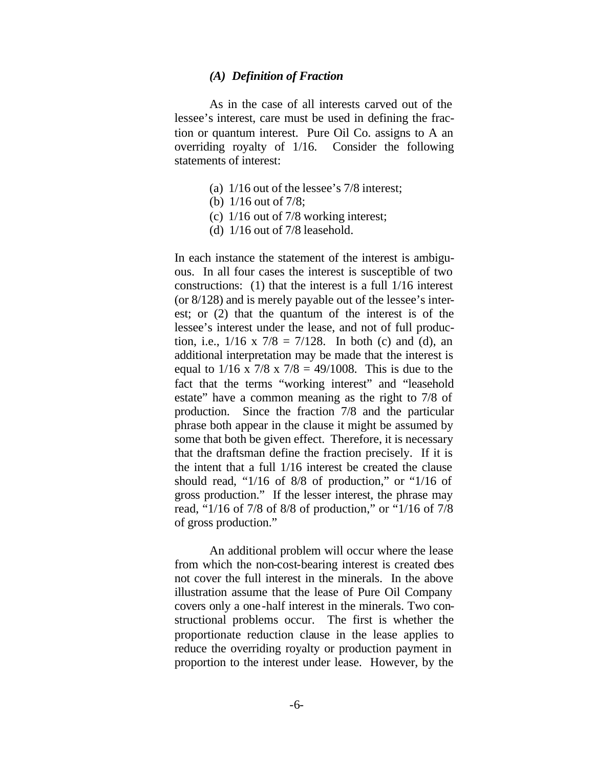#### *(A) Definition of Fraction*

As in the case of all interests carved out of the lessee's interest, care must be used in defining the fraction or quantum interest. Pure Oil Co. assigns to A an overriding royalty of 1/16. Consider the following statements of interest:

- (a) 1/16 out of the lessee's 7/8 interest;
- (b) 1/16 out of 7/8;
- (c) 1/16 out of 7/8 working interest;
- (d) 1/16 out of 7/8 leasehold.

In each instance the statement of the interest is ambiguous. In all four cases the interest is susceptible of two constructions: (1) that the interest is a full 1/16 interest (or 8/128) and is merely payable out of the lessee's interest; or (2) that the quantum of the interest is of the lessee's interest under the lease, and not of full production, i.e.,  $1/16 \times 7/8 = 7/128$ . In both (c) and (d), an additional interpretation may be made that the interest is equal to  $1/16 \times 7/8 \times 7/8 = 49/1008$ . This is due to the fact that the terms "working interest" and "leasehold estate" have a common meaning as the right to 7/8 of production. Since the fraction 7/8 and the particular phrase both appear in the clause it might be assumed by some that both be given effect. Therefore, it is necessary that the draftsman define the fraction precisely. If it is the intent that a full 1/16 interest be created the clause should read, "1/16 of 8/8 of production," or "1/16 of gross production." If the lesser interest, the phrase may read, "1/16 of 7/8 of 8/8 of production," or "1/16 of 7/8 of gross production."

An additional problem will occur where the lease from which the non-cost-bearing interest is created does not cover the full interest in the minerals. In the above illustration assume that the lease of Pure Oil Company covers only a one-half interest in the minerals. Two constructional problems occur. The first is whether the proportionate reduction clause in the lease applies to reduce the overriding royalty or production payment in proportion to the interest under lease. However, by the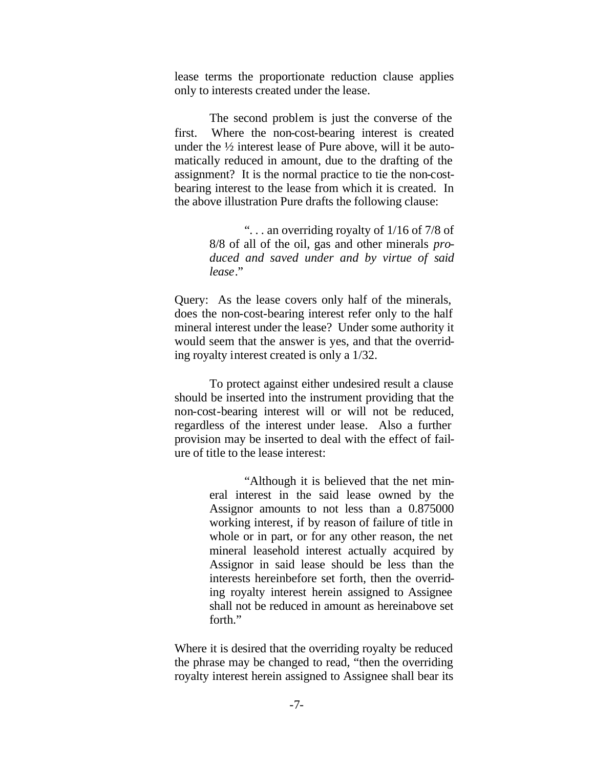lease terms the proportionate reduction clause applies only to interests created under the lease.

The second problem is just the converse of the first. Where the non-cost-bearing interest is created under the ½ interest lease of Pure above, will it be automatically reduced in amount, due to the drafting of the assignment? It is the normal practice to tie the non-costbearing interest to the lease from which it is created. In the above illustration Pure drafts the following clause:

> ". . . an overriding royalty of 1/16 of 7/8 of 8/8 of all of the oil, gas and other minerals *produced and saved under and by virtue of said lease*."

Query: As the lease covers only half of the minerals, does the non-cost-bearing interest refer only to the half mineral interest under the lease? Under some authority it would seem that the answer is yes, and that the overriding royalty interest created is only a 1/32.

To protect against either undesired result a clause should be inserted into the instrument providing that the non-cost-bearing interest will or will not be reduced, regardless of the interest under lease. Also a further provision may be inserted to deal with the effect of failure of title to the lease interest:

> "Although it is believed that the net mineral interest in the said lease owned by the Assignor amounts to not less than a 0.875000 working interest, if by reason of failure of title in whole or in part, or for any other reason, the net mineral leasehold interest actually acquired by Assignor in said lease should be less than the interests hereinbefore set forth, then the overriding royalty interest herein assigned to Assignee shall not be reduced in amount as hereinabove set forth."

Where it is desired that the overriding royalty be reduced the phrase may be changed to read, "then the overriding royalty interest herein assigned to Assignee shall bear its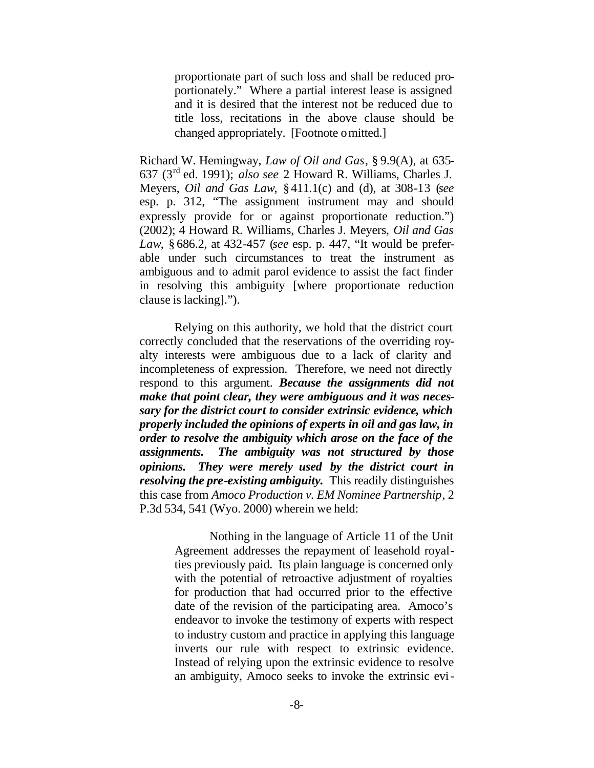proportionate part of such loss and shall be reduced proportionately." Where a partial interest lease is assigned and it is desired that the interest not be reduced due to title loss, recitations in the above clause should be changed appropriately. [Footnote omitted.]

Richard W. Hemingway, *Law of Oil and Gas*, § 9.9(A), at 635- 637 (3rd ed. 1991); *also see* 2 Howard R. Williams, Charles J. Meyers, *Oil and Gas Law*, §411.1(c) and (d), at 308-13 (*see*  esp. p. 312, "The assignment instrument may and should expressly provide for or against proportionate reduction.") (2002); 4 Howard R. Williams, Charles J. Meyers, *Oil and Gas Law*, § 686.2, at 432-457 (*see* esp. p. 447, "It would be preferable under such circumstances to treat the instrument as ambiguous and to admit parol evidence to assist the fact finder in resolving this ambiguity [where proportionate reduction clause is lacking].").

Relying on this authority, we hold that the district court correctly concluded that the reservations of the overriding royalty interests were ambiguous due to a lack of clarity and incompleteness of expression. Therefore, we need not directly respond to this argument. *Because the assignments did not make that point clear, they were ambiguous and it was necessary for the district court to consider extrinsic evidence, which properly included the opinions of experts in oil and gas law, in order to resolve the ambiguity which arose on the face of the assignments. The ambiguity was not structured by those opinions. They were merely used by the district court in resolving the pre-existing ambiguity.* This readily distinguishes this case from *Amoco Production v. EM Nominee Partnership*, 2 P.3d 534, 541 (Wyo. 2000) wherein we held:

> Nothing in the language of Article 11 of the Unit Agreement addresses the repayment of leasehold royalties previously paid. Its plain language is concerned only with the potential of retroactive adjustment of royalties for production that had occurred prior to the effective date of the revision of the participating area. Amoco's endeavor to invoke the testimony of experts with respect to industry custom and practice in applying this language inverts our rule with respect to extrinsic evidence. Instead of relying upon the extrinsic evidence to resolve an ambiguity, Amoco seeks to invoke the extrinsic evi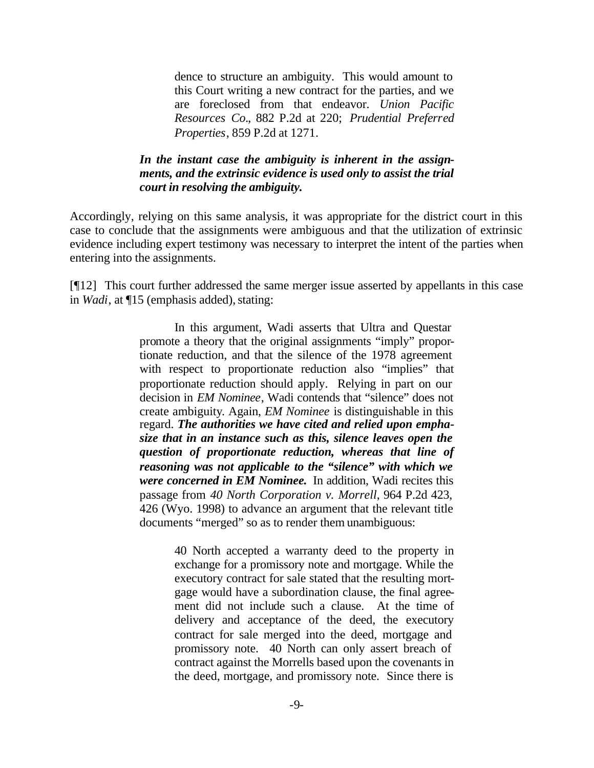dence to structure an ambiguity. This would amount to this Court writing a new contract for the parties, and we are foreclosed from that endeavor. *Union Pacific Resources Co.*, 882 P.2d at 220; *Prudential Preferred Properties*, 859 P.2d at 1271.

### *In the instant case the ambiguity is inherent in the assignments, and the extrinsic evidence is used only to assist the trial court in resolving the ambiguity.*

Accordingly, relying on this same analysis, it was appropriate for the district court in this case to conclude that the assignments were ambiguous and that the utilization of extrinsic evidence including expert testimony was necessary to interpret the intent of the parties when entering into the assignments.

[¶12] This court further addressed the same merger issue asserted by appellants in this case in *Wadi*, at  $\P$ 15 (emphasis added), stating:

> In this argument, Wadi asserts that Ultra and Questar promote a theory that the original assignments "imply" proportionate reduction, and that the silence of the 1978 agreement with respect to proportionate reduction also "implies" that proportionate reduction should apply. Relying in part on our decision in *EM Nominee*, Wadi contends that "silence" does not create ambiguity. Again, *EM Nominee* is distinguishable in this regard. *The authorities we have cited and relied upon emphasize that in an instance such as this, silence leaves open the question of proportionate reduction, whereas that line of reasoning was not applicable to the "silence" with which we were concerned in EM Nominee.* In addition, Wadi recites this passage from *40 North Corporation v. Morrell*, 964 P.2d 423, 426 (Wyo. 1998) to advance an argument that the relevant title documents "merged" so as to render them unambiguous:

> > 40 North accepted a warranty deed to the property in exchange for a promissory note and mortgage. While the executory contract for sale stated that the resulting mortgage would have a subordination clause, the final agreement did not include such a clause. At the time of delivery and acceptance of the deed, the executory contract for sale merged into the deed, mortgage and promissory note. 40 North can only assert breach of contract against the Morrells based upon the covenants in the deed, mortgage, and promissory note. Since there is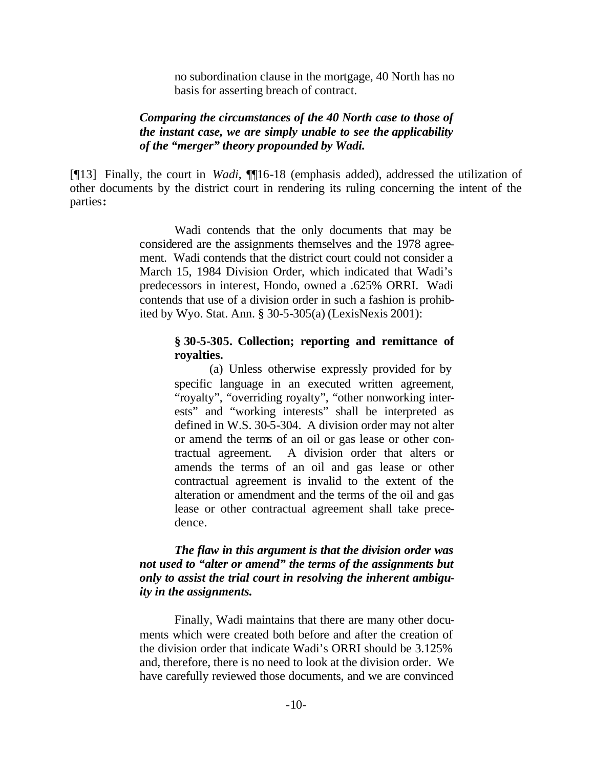no subordination clause in the mortgage, 40 North has no basis for asserting breach of contract.

### *Comparing the circumstances of the 40 North case to those of the instant case, we are simply unable to see the applicability of the "merger" theory propounded by Wadi.*

[¶13] Finally, the court in *Wadi*, ¶¶16-18 (emphasis added), addressed the utilization of other documents by the district court in rendering its ruling concerning the intent of the parties**:** 

> Wadi contends that the only documents that may be considered are the assignments themselves and the 1978 agreement. Wadi contends that the district court could not consider a March 15, 1984 Division Order, which indicated that Wadi's predecessors in interest, Hondo, owned a .625% ORRI. Wadi contends that use of a division order in such a fashion is prohibited by Wyo. Stat. Ann. § 30-5-305(a) (LexisNexis 2001):

### **§ 30-5-305. Collection; reporting and remittance of royalties.**

(a) Unless otherwise expressly provided for by specific language in an executed written agreement, "royalty", "overriding royalty", "other nonworking interests" and "working interests" shall be interpreted as defined in W.S. 30-5-304. A division order may not alter or amend the terms of an oil or gas lease or other contractual agreement. A division order that alters or amends the terms of an oil and gas lease or other contractual agreement is invalid to the extent of the alteration or amendment and the terms of the oil and gas lease or other contractual agreement shall take precedence.

### *The flaw in this argument is that the division order was not used to "alter or amend" the terms of the assignments but only to assist the trial court in resolving the inherent ambiguity in the assignments.*

Finally, Wadi maintains that there are many other documents which were created both before and after the creation of the division order that indicate Wadi's ORRI should be 3.125% and, therefore, there is no need to look at the division order. We have carefully reviewed those documents, and we are convinced